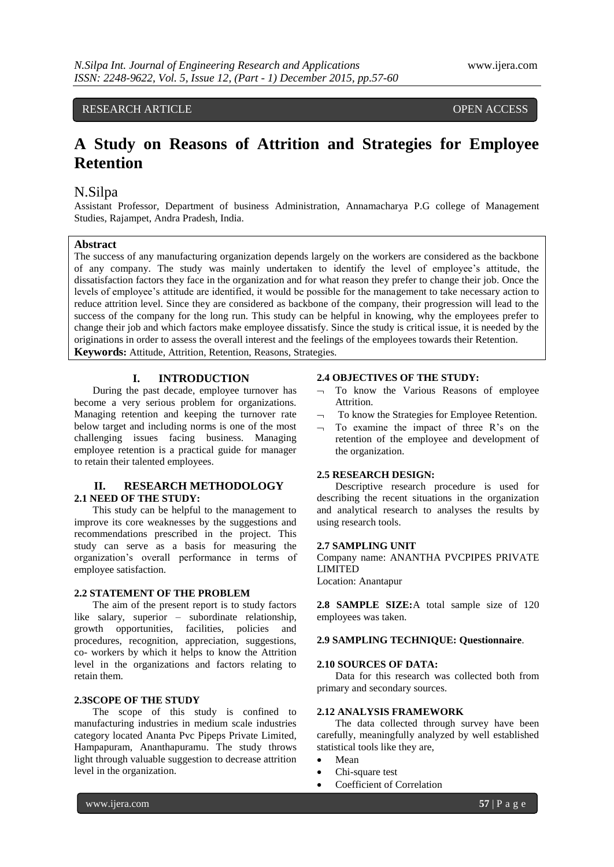# RESEARCH ARTICLE **CONSERVERS** OPEN ACCESS

# **A Study on Reasons of Attrition and Strategies for Employee Retention**

# N.Silpa

Assistant Professor, Department of business Administration, Annamacharya P.G college of Management Studies, Rajampet, Andra Pradesh, India.

# **Abstract**

The success of any manufacturing organization depends largely on the workers are considered as the backbone of any company. The study was mainly undertaken to identify the level of employee's attitude, the dissatisfaction factors they face in the organization and for what reason they prefer to change their job. Once the levels of employee's attitude are identified, it would be possible for the management to take necessary action to reduce attrition level. Since they are considered as backbone of the company, their progression will lead to the success of the company for the long run. This study can be helpful in knowing, why the employees prefer to change their job and which factors make employee dissatisfy. Since the study is critical issue, it is needed by the originations in order to assess the overall interest and the feelings of the employees towards their Retention.

**Keywords:** Attitude, Attrition, Retention, Reasons, Strategies.

## **I. INTRODUCTION**

During the past decade, employee turnover has become a very serious problem for organizations. Managing retention and keeping the turnover rate below target and including norms is one of the most challenging issues facing business. Managing employee retention is a practical guide for manager to retain their talented employees.

# **II. RESEARCH METHODOLOGY 2.1 NEED OF THE STUDY:**

This study can be helpful to the management to improve its core weaknesses by the suggestions and recommendations prescribed in the project. This study can serve as a basis for measuring the organization's overall performance in terms of employee satisfaction.

### **2.2 STATEMENT OF THE PROBLEM**

The aim of the present report is to study factors like salary, superior – subordinate relationship, growth opportunities, facilities, policies and procedures, recognition, appreciation, suggestions, co- workers by which it helps to know the Attrition level in the organizations and factors relating to retain them.

### **2.3SCOPE OF THE STUDY**

The scope of this study is confined to manufacturing industries in medium scale industries category located Ananta Pvc Pipeps Private Limited, Hampapuram, Ananthapuramu. The study throws light through valuable suggestion to decrease attrition level in the organization.

#### **2.4 OBJECTIVES OF THE STUDY:**

- $\lnot$  To know the Various Reasons of employee Attrition.
- To know the Strategies for Employee Retention.
- $\neg$  To examine the impact of three R's on the retention of the employee and development of the organization.

#### **2.5 RESEARCH DESIGN:**

Descriptive research procedure is used for describing the recent situations in the organization and analytical research to analyses the results by using research tools.

#### **2.7 SAMPLING UNIT**

Company name: ANANTHA PVCPIPES PRIVATE LIMITED

Location: Anantapur

**2.8 SAMPLE SIZE:**A total sample size of 120 employees was taken.

### **2.9 SAMPLING TECHNIQUE: Questionnaire**.

#### **2.10 SOURCES OF DATA:**

Data for this research was collected both from primary and secondary sources.

#### **2.12 ANALYSIS FRAMEWORK**

The data collected through survey have been carefully, meaningfully analyzed by well established statistical tools like they are,

- Mean
- Chi-square test
- Coefficient of Correlation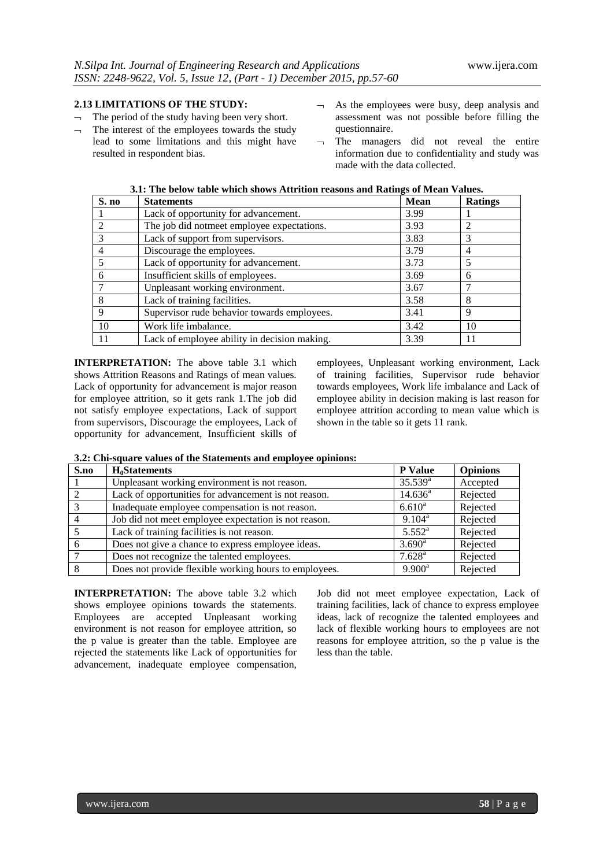# **2.13 LIMITATIONS OF THE STUDY:**

- $\lnot$  The period of the study having been very short.
- $\lnot$  The interest of the employees towards the study lead to some limitations and this might have resulted in respondent bias.
- $\lnot$  As the employees were busy, deep analysis and assessment was not possible before filling the questionnaire.
- $\neg$  The managers did not reveal the entire information due to confidentiality and study was made with the data collected.

| S. no | <b>Statements</b>                            | <b>Mean</b> | <b>Ratings</b> |
|-------|----------------------------------------------|-------------|----------------|
|       | Lack of opportunity for advancement.         | 3.99        |                |
| 2     | The job did notmeet employee expectations.   | 3.93        |                |
|       | Lack of support from supervisors.            | 3.83        |                |
|       | Discourage the employees.                    | 3.79        |                |
|       | Lack of opportunity for advancement.         | 3.73        |                |
| 6     | Insufficient skills of employees.            | 3.69        | h              |
|       | Unpleasant working environment.              | 3.67        |                |
| 8     | Lack of training facilities.                 | 3.58        | 8              |
| 9     | Supervisor rude behavior towards employees.  | 3.41        | 9              |
| 10    | Work life imbalance.                         | 3.42        | 10             |
| 11    | Lack of employee ability in decision making. | 3.39        |                |

**3.1: The below table which shows Attrition reasons and Ratings of Mean Values.**

**INTERPRETATION:** The above table 3.1 which shows Attrition Reasons and Ratings of mean values. Lack of opportunity for advancement is major reason for employee attrition, so it gets rank 1.The job did not satisfy employee expectations, Lack of support from supervisors, Discourage the employees, Lack of opportunity for advancement, Insufficient skills of employees, Unpleasant working environment, Lack of training facilities, Supervisor rude behavior towards employees, Work life imbalance and Lack of employee ability in decision making is last reason for employee attrition according to mean value which is shown in the table so it gets 11 rank.

**3.2: Chi-square values of the Statements and employee opinions:**

| S.no | <b>H</b> .Statements                                  | <b>P</b> Value       | <b>Opinions</b> |
|------|-------------------------------------------------------|----------------------|-----------------|
|      | Unpleasant working environment is not reason.         | $35.539^{\rm a}$     | Accepted        |
|      | Lack of opportunities for advancement is not reason.  | $14.636^{\circ}$     | Rejected        |
|      | Inadequate employee compensation is not reason.       | $6.610^{a}$          | Rejected        |
|      | Job did not meet employee expectation is not reason.  | $9.104^{\rm a}$      | Rejected        |
|      | Lack of training facilities is not reason.            | $5.552^{\rm a}$      | Rejected        |
|      | Does not give a chance to express employee ideas.     | $3.690^{\rm a}$      | Rejected        |
|      | Does not recognize the talented employees.            | $7.628$ <sup>a</sup> | Rejected        |
|      | Does not provide flexible working hours to employees. | $9.900^a$            | Rejected        |

**INTERPRETATION:** The above table 3.2 which shows employee opinions towards the statements. Employees are accepted Unpleasant working environment is not reason for employee attrition, so the p value is greater than the table. Employee are rejected the statements like Lack of opportunities for advancement, inadequate employee compensation,

Job did not meet employee expectation, Lack of training facilities, lack of chance to express employee ideas, lack of recognize the talented employees and lack of flexible working hours to employees are not reasons for employee attrition, so the p value is the less than the table.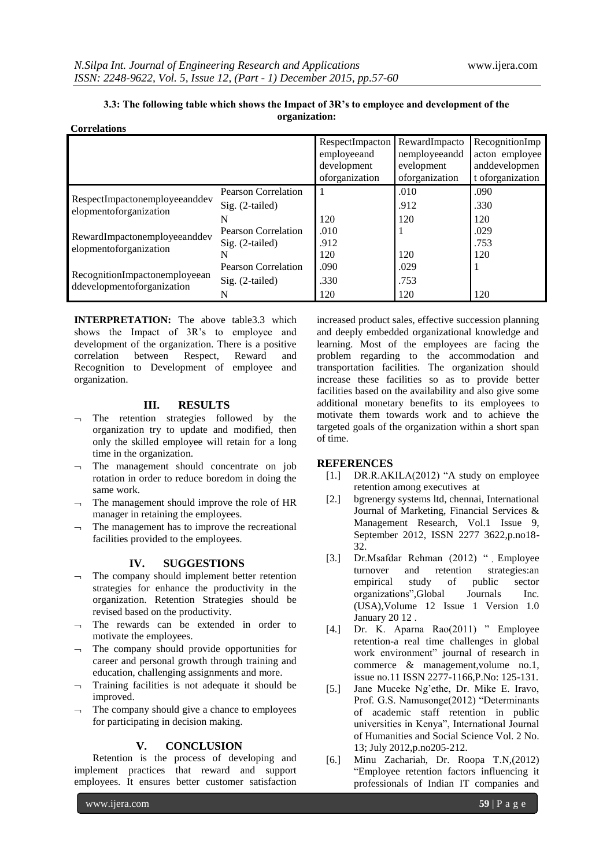| 3.3: The following table which shows the Impact of 3R's to employee and development of the |  |  |  |  |  |
|--------------------------------------------------------------------------------------------|--|--|--|--|--|
| organization:                                                                              |  |  |  |  |  |
| <b>Correlations</b>                                                                        |  |  |  |  |  |

|                                                             |                     | RespectImpacton<br>employeeand<br>development<br>oforganization | RewardImpacto<br>nemployeeandd<br>evelopment<br>oforganization | RecognitionImp<br>acton employee<br>anddevelopmen<br>t of organization |
|-------------------------------------------------------------|---------------------|-----------------------------------------------------------------|----------------------------------------------------------------|------------------------------------------------------------------------|
|                                                             | Pearson Correlation |                                                                 | .010                                                           | .090                                                                   |
| RespectImpactonemployeeanddev<br>elopmentoforganization     | $Sig. (2-tailed)$   |                                                                 | .912                                                           | .330                                                                   |
|                                                             | N                   | 120                                                             | 120                                                            | 120                                                                    |
| RewardImpactonemployeeanddev                                | Pearson Correlation | .010                                                            |                                                                | .029                                                                   |
| elopmentoforganization                                      | $Sig. (2-tailed)$   | .912                                                            |                                                                | .753                                                                   |
|                                                             | N                   | 120                                                             | 120                                                            | 120                                                                    |
|                                                             | Pearson Correlation | .090                                                            | .029                                                           |                                                                        |
| RecognitionImpactonemployeean<br>ddevelopmentoforganization | $Sig. (2-tailed)$   | .330                                                            | .753                                                           |                                                                        |
|                                                             | N                   | 120                                                             | 120                                                            | 120                                                                    |

**INTERPRETATION:** The above table3.3 which shows the Impact of 3R's to employee and development of the organization. There is a positive correlation between Respect, Reward and Recognition to Development of employee and organization.

# **III. RESULTS**

- $\neg$  The retention strategies followed by the organization try to update and modified, then only the skilled employee will retain for a long time in the organization.
- $\neg$  The management should concentrate on job rotation in order to reduce boredom in doing the same work.
- $\lnot$  The management should improve the role of HR manager in retaining the employees.
- The management has to improve the recreational facilities provided to the employees.

### **IV. SUGGESTIONS**

- The company should implement better retention strategies for enhance the productivity in the organization. Retention Strategies should be revised based on the productivity.
- $\lnot$  The rewards can be extended in order to motivate the employees.
- $\neg$  The company should provide opportunities for career and personal growth through training and education, challenging assignments and more.
- $\lnot$  Training facilities is not adequate it should be improved.
- The company should give a chance to employees for participating in decision making.

### **V. CONCLUSION**

Retention is the process of developing and implement practices that reward and support employees. It ensures better customer satisfaction

increased product sales, effective succession planning and deeply embedded organizational knowledge and learning. Most of the employees are facing the problem regarding to the accommodation and transportation facilities. The organization should increase these facilities so as to provide better facilities based on the availability and also give some additional monetary benefits to its employees to motivate them towards work and to achieve the targeted goals of the organization within a short span of time.

### **REFERENCES**

- [1.] DR.R.AKILA(2012) "A study on employee retention among executives at
- [2.] bgrenergy systems ltd, chennai, International Journal of Marketing, Financial Services & Management Research, Vol.1 Issue 9, September 2012, ISSN 2277 3622,p.no18- 32.
- [3.] Dr.Msafdar Rehman (2012) ". Employee turnover and retention strategies: an<br>empirical study of public sector empirical study of public sector organizations",Global Journals Inc. (USA),Volume 12 Issue 1 Version 1.0 January 20 12 .
- [4.] Dr. K. Aparna Rao(2011) " Employee retention-a real time challenges in global work environment" journal of research in commerce & management,volume no.1, issue no.11 ISSN 2277-1166,P.No: 125-131.
- [5.] Jane Muceke Ng'ethe, Dr. Mike E. Iravo, Prof. G.S. Namusonge(2012) "Determinants of academic staff retention in public universities in Kenya", International Journal of Humanities and Social Science Vol. 2 No. 13; July 2012,p.no205-212.
- [6.] Minu Zachariah, Dr. Roopa T.N,(2012) "Employee retention factors influencing it professionals of Indian IT companies and